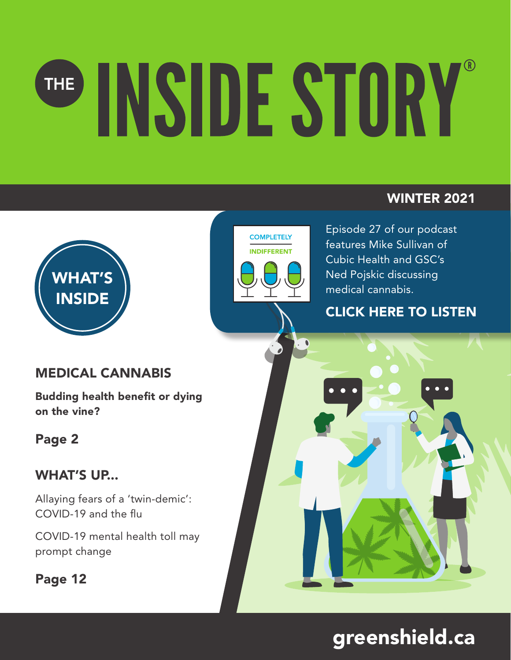# **INSIDE STORY® THE**

#### WINTER 2021





Episode 27 of our podcast features Mike Sullivan of Cubic Health and GSC's Ned Pojskic discussing medical cannabis.

#### [CLICK HERE TO LISTEN](https://www.greenshield.ca/en-ca/blog)

#### MEDICAL CANNABIS

Budding health benefit or dying on the vine?

#### [Page 2](#page-1-0)

#### WHAT'S UP...

Allaying fears of a 'twin-demic': COVID-19 and the flu

COVID-19 mental health toll may prompt change

#### [Page 1](#page-9-0)2



## [greenshield.ca](http://www.greenshield.ca/en-ca)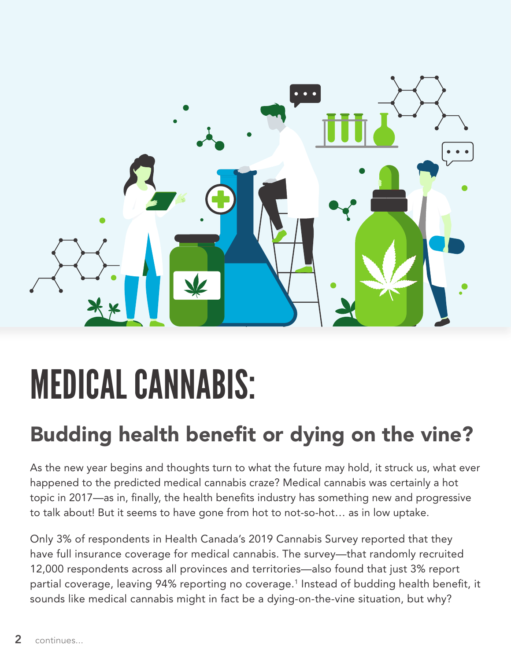<span id="page-1-0"></span>

# MEDICAL CANNABIS:

## Budding health benefit or dying on the vine?

As the new year begins and thoughts turn to what the future may hold, it struck us, what ever happened to the predicted medical cannabis craze? Medical cannabis was certainly a hot topic in 2017—as in, finally, the health benefits industry has something new and progressive to talk about! But it seems to have gone from hot to not-so-hot… as in low uptake.

Only 3% of respondents in Health Canada's 2019 Cannabis Survey reported that they have full insurance coverage for medical cannabis. The survey—that randomly recruited 12,000 respondents across all provinces and territories—also found that just 3% report partial coverage, leaving 94% reporting no coverage.<sup>1</sup> Instead of budding health benefit, it sounds like medical cannabis might in fact be a dying-on-the-vine situation, but why?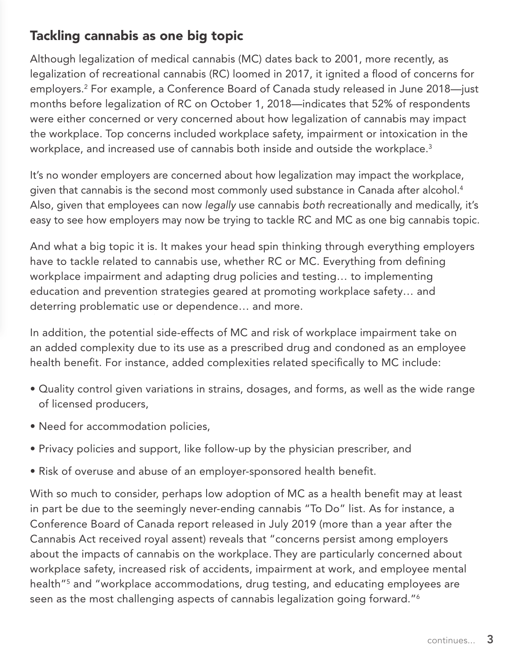### Tackling cannabis as one big topic

Although legalization of medical cannabis (MC) dates back to 2001, more recently, as legalization of recreational cannabis (RC) loomed in 2017, it ignited a flood of concerns for employers.2 For example, a Conference Board of Canada study released in June 2018—just months before legalization of RC on October 1, 2018—indicates that 52% of respondents were either concerned or very concerned about how legalization of cannabis may impact the workplace. Top concerns included workplace safety, impairment or intoxication in the workplace, and increased use of cannabis both inside and outside the workplace.<sup>3</sup>

It's no wonder employers are concerned about how legalization may impact the workplace, given that cannabis is the second most commonly used substance in Canada after alcohol.4 Also, given that employees can now *legally* use cannabis *both* recreationally and medically, it's easy to see how employers may now be trying to tackle RC and MC as one big cannabis topic.

And what a big topic it is. It makes your head spin thinking through everything employers have to tackle related to cannabis use, whether RC or MC. Everything from defining workplace impairment and adapting drug policies and testing… to implementing education and prevention strategies geared at promoting workplace safety… and deterring problematic use or dependence… and more.

In addition, the potential side-effects of MC and risk of workplace impairment take on an added complexity due to its use as a prescribed drug and condoned as an employee health benefit. For instance, added complexities related specifically to MC include:

- Quality control given variations in strains, dosages, and forms, as well as the wide range of licensed producers,
- Need for accommodation policies,
- Privacy policies and support, like follow-up by the physician prescriber, and
- Risk of overuse and abuse of an employer-sponsored health benefit.

With so much to consider, perhaps low adoption of MC as a health benefit may at least in part be due to the seemingly never-ending cannabis "To Do" list. As for instance, a Conference Board of Canada report released in July 2019 (more than a year after the Cannabis Act received royal assent) reveals that "concerns persist among employers about the impacts of cannabis on the workplace. They are particularly concerned about workplace safety, increased risk of accidents, impairment at work, and employee mental health"5 and "workplace accommodations, drug testing, and educating employees are seen as the most challenging aspects of cannabis legalization going forward."<sup>6</sup>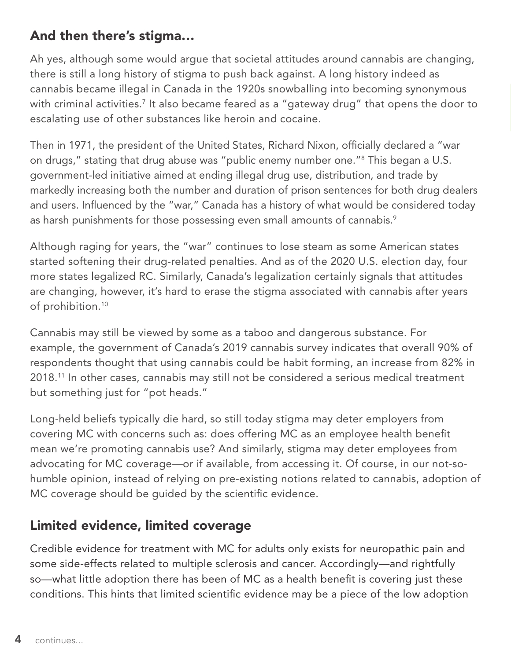### And then there's stigma…

Ah yes, although some would argue that societal attitudes around cannabis are changing, there is still a long history of stigma to push back against. A long history indeed as cannabis became illegal in Canada in the 1920s snowballing into becoming synonymous with criminal activities.<sup>7</sup> It also became feared as a "gateway drug" that opens the door to escalating use of other substances like heroin and cocaine.

Then in 1971, the president of the United States, Richard Nixon, officially declared a "war on drugs," stating that drug abuse was "public enemy number one."8 This began a U.S. government-led initiative aimed at ending illegal drug use, distribution, and trade by markedly increasing both the number and duration of prison sentences for both drug dealers and users. Influenced by the "war," Canada has a history of what would be considered today as harsh punishments for those possessing even small amounts of cannabis.<sup>9</sup>

Although raging for years, the "war" continues to lose steam as some American states started softening their drug-related penalties. And as of the 2020 U.S. election day, four more states legalized RC. Similarly, Canada's legalization certainly signals that attitudes are changing, however, it's hard to erase the stigma associated with cannabis after years of prohibition.<sup>10</sup>

Cannabis may still be viewed by some as a taboo and dangerous substance. For example, the government of Canada's 2019 cannabis survey indicates that overall 90% of respondents thought that using cannabis could be habit forming, an increase from 82% in 2018.11 In other cases, cannabis may still not be considered a serious medical treatment but something just for "pot heads."

Long-held beliefs typically die hard, so still today stigma may deter employers from covering MC with concerns such as: does offering MC as an employee health benefit mean we're promoting cannabis use? And similarly, stigma may deter employees from advocating for MC coverage—or if available, from accessing it. Of course, in our not-sohumble opinion, instead of relying on pre-existing notions related to cannabis, adoption of MC coverage should be guided by the scientific evidence.

### Limited evidence, limited coverage

Credible evidence for treatment with MC for adults only exists for neuropathic pain and some side-effects related to multiple sclerosis and cancer. Accordingly—and rightfully so—what little adoption there has been of MC as a health benefit is covering just these conditions. This hints that limited scientific evidence may be a piece of the low adoption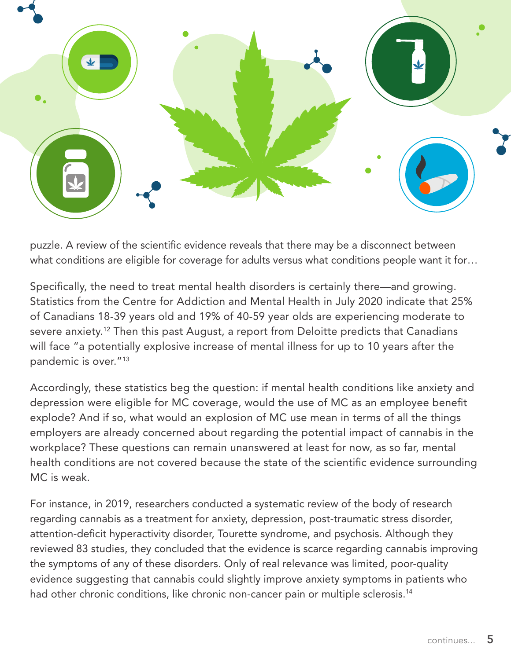

puzzle. A review of the scientific evidence reveals that there may be a disconnect between what conditions are eligible for coverage for adults versus what conditions people want it for…

Specifically, the need to treat mental health disorders is certainly there—and growing. Statistics from the Centre for Addiction and Mental Health in July 2020 indicate that 25% of Canadians 18-39 years old and 19% of 40-59 year olds are experiencing moderate to severe anxiety.<sup>12</sup> Then this past August, a report from Deloitte predicts that Canadians will face "a potentially explosive increase of mental illness for up to 10 years after the pandemic is over."13

Accordingly, these statistics beg the question: if mental health conditions like anxiety and depression were eligible for MC coverage, would the use of MC as an employee benefit explode? And if so, what would an explosion of MC use mean in terms of all the things employers are already concerned about regarding the potential impact of cannabis in the workplace? These questions can remain unanswered at least for now, as so far, mental health conditions are not covered because the state of the scientific evidence surrounding MC is weak.

For instance, in 2019, researchers conducted a systematic review of the body of research regarding cannabis as a treatment for anxiety, depression, post-traumatic stress disorder, attention-deficit hyperactivity disorder, Tourette syndrome, and psychosis. Although they reviewed 83 studies, they concluded that the evidence is scarce regarding cannabis improving the symptoms of any of these disorders. Only of real relevance was limited, poor-quality evidence suggesting that cannabis could slightly improve anxiety symptoms in patients who had other chronic conditions, like chronic non-cancer pain or multiple sclerosis.<sup>14</sup>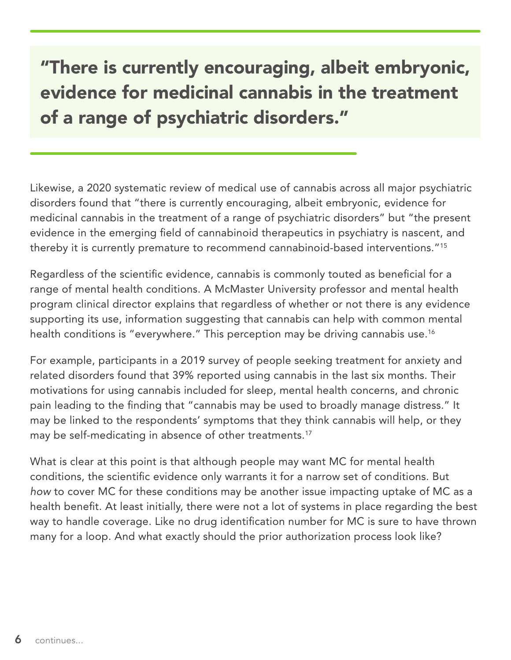## "There is currently encouraging, albeit embryonic, evidence for medicinal cannabis in the treatment of a range of psychiatric disorders."

Likewise, a 2020 systematic review of medical use of cannabis across all major psychiatric disorders found that "there is currently encouraging, albeit embryonic, evidence for medicinal cannabis in the treatment of a range of psychiatric disorders" but "the present evidence in the emerging field of cannabinoid therapeutics in psychiatry is nascent, and thereby it is currently premature to recommend cannabinoid-based interventions."15

Regardless of the scientific evidence, cannabis is commonly touted as beneficial for a range of mental health conditions. A McMaster University professor and mental health program clinical director explains that regardless of whether or not there is any evidence supporting its use, information suggesting that cannabis can help with common mental health conditions is "everywhere." This perception may be driving cannabis use.<sup>16</sup>

For example, participants in a 2019 survey of people seeking treatment for anxiety and related disorders found that 39% reported using cannabis in the last six months. Their motivations for using cannabis included for sleep, mental health concerns, and chronic pain leading to the finding that "cannabis may be used to broadly manage distress." It may be linked to the respondents' symptoms that they think cannabis will help, or they may be self-medicating in absence of other treatments.<sup>17</sup>

What is clear at this point is that although people may want MC for mental health conditions, the scientific evidence only warrants it for a narrow set of conditions. But *how* to cover MC for these conditions may be another issue impacting uptake of MC as a health benefit. At least initially, there were not a lot of systems in place regarding the best way to handle coverage. Like no drug identification number for MC is sure to have thrown many for a loop. And what exactly should the prior authorization process look like?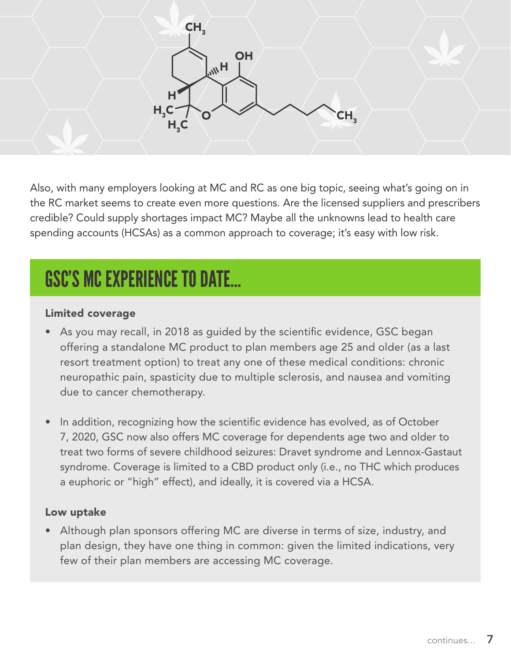

Also, with many employers looking at MC and RC as one big topic, seeing what's going on in the RC market seems to create even more questions. Are the licensed suppliers and prescribers credible? Could supply shortages impact MC? Maybe all the unknowns lead to health care spending accounts (HCSAs) as a common approach to coverage; it's easy with low risk.

## GSC'S MC EXPERIENCE TO DATE…

#### Limited coverage

- As you may recall, in 2018 as guided by the scientific evidence, GSC began offering a standalone MC product to plan members age 25 and older (as a last resort treatment option) to treat any one of these medical conditions: chronic neuropathic pain, spasticity due to multiple sclerosis, and nausea and vomiting due to cancer chemotherapy.
- In addition, recognizing how the scientific evidence has evolved, as of October 7, 2020, GSC now also offers MC coverage for dependents age two and older to treat two forms of severe childhood seizures: Dravet syndrome and Lennox-Gastaut syndrome. Coverage is limited to a CBD product only (i.e., no THC which produces a euphoric or "high" effect), and ideally, it is covered via a HCSA.

#### Low uptake

• Although plan sponsors offering MC are diverse in terms of size, industry, and plan design, they have one thing in common: given the limited indications, very few of their plan members are accessing MC coverage.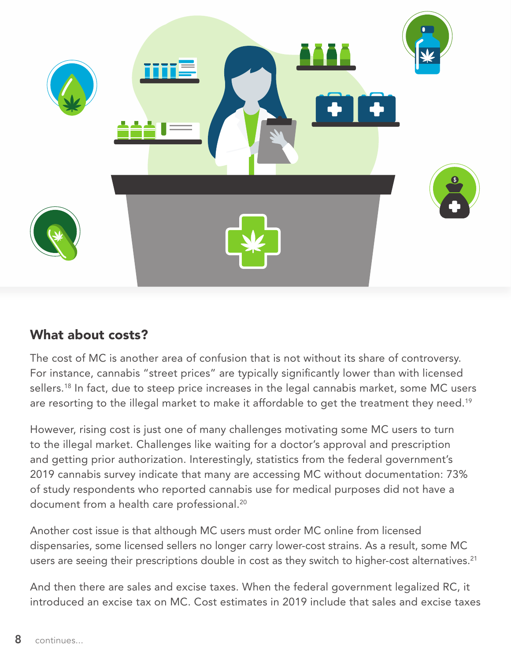

#### What about costs?

The cost of MC is another area of confusion that is not without its share of controversy. For instance, cannabis "street prices" are typically significantly lower than with licensed sellers.<sup>18</sup> In fact, due to steep price increases in the legal cannabis market, some MC users are resorting to the illegal market to make it affordable to get the treatment they need.<sup>19</sup>

However, rising cost is just one of many challenges motivating some MC users to turn to the illegal market. Challenges like waiting for a doctor's approval and prescription and getting prior authorization. Interestingly, statistics from the federal government's 2019 cannabis survey indicate that many are accessing MC without documentation: 73% of study respondents who reported cannabis use for medical purposes did not have a document from a health care professional.<sup>20</sup>

Another cost issue is that although MC users must order MC online from licensed dispensaries, some licensed sellers no longer carry lower-cost strains. As a result, some MC users are seeing their prescriptions double in cost as they switch to higher-cost alternatives.<sup>21</sup>

And then there are sales and excise taxes. When the federal government legalized RC, it introduced an excise tax on MC. Cost estimates in 2019 include that sales and excise taxes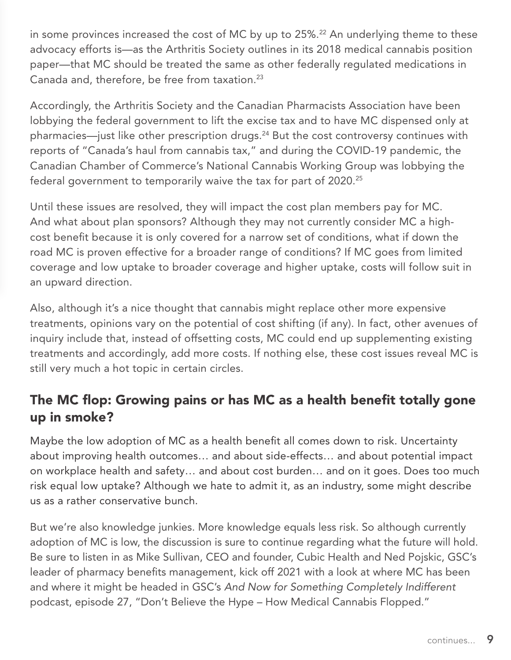in some provinces increased the cost of MC by up to 25%.<sup>22</sup> An underlying theme to these advocacy efforts is—as the Arthritis Society outlines in its 2018 medical cannabis position paper—that MC should be treated the same as other federally regulated medications in Canada and, therefore, be free from taxation.23

Accordingly, the Arthritis Society and the Canadian Pharmacists Association have been lobbying the federal government to lift the excise tax and to have MC dispensed only at pharmacies—just like other prescription drugs.24 But the cost controversy continues with reports of "Canada's haul from cannabis tax," and during the COVID-19 pandemic, the Canadian Chamber of Commerce's National Cannabis Working Group was lobbying the federal government to temporarily waive the tax for part of 2020.<sup>25</sup>

Until these issues are resolved, they will impact the cost plan members pay for MC. And what about plan sponsors? Although they may not currently consider MC a highcost benefit because it is only covered for a narrow set of conditions, what if down the road MC is proven effective for a broader range of conditions? If MC goes from limited coverage and low uptake to broader coverage and higher uptake, costs will follow suit in an upward direction.

Also, although it's a nice thought that cannabis might replace other more expensive treatments, opinions vary on the potential of cost shifting (if any). In fact, other avenues of inquiry include that, instead of offsetting costs, MC could end up supplementing existing treatments and accordingly, add more costs. If nothing else, these cost issues reveal MC is still very much a hot topic in certain circles.

### The MC flop: Growing pains or has MC as a health benefit totally gone up in smoke?

Maybe the low adoption of MC as a health benefit all comes down to risk. Uncertainty about improving health outcomes… and about side-effects… and about potential impact on workplace health and safety… and about cost burden… and on it goes. Does too much risk equal low uptake? Although we hate to admit it, as an industry, some might describe us as a rather conservative bunch.

But we're also knowledge junkies. More knowledge equals less risk. So although currently adoption of MC is low, the discussion is sure to continue regarding what the future will hold. Be sure to listen in as Mike Sullivan, CEO and founder, Cubic Health and Ned Pojskic, GSC's leader of pharmacy benefits management, kick off 2021 with a look at where MC has been and where it might be headed in GSC's *And Now for Something Completely Indifferent* podcast, episode 27, "Don't Believe the Hype – How Medical Cannabis Flopped."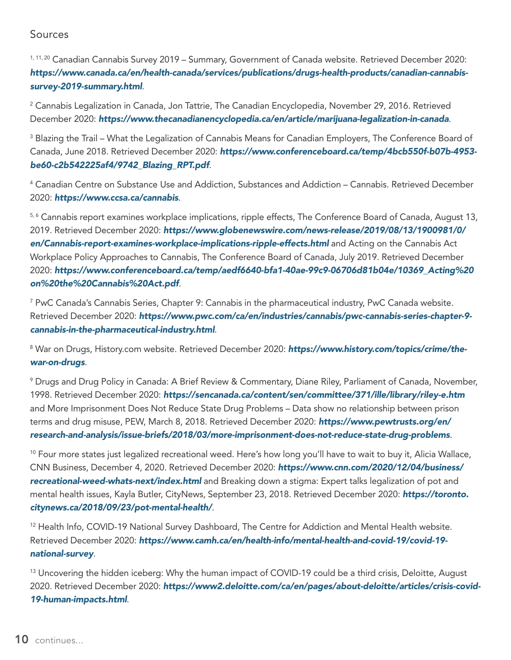#### <span id="page-9-0"></span>Sources

1, 11, 20 Canadian Cannabis Survey 2019 – Summary, Government of Canada website. Retrieved December 2020: *[https://www.canada.ca/en/health-canada/services/publications/drugs-health-products/canadian-cannabis](https://www.canada.ca/en/health-canada/services/publications/drugs-health-products/canadian-cannabis-survey-2019-summary.html)[survey-2019-summary.html](https://www.canada.ca/en/health-canada/services/publications/drugs-health-products/canadian-cannabis-survey-2019-summary.html)*.

 $^{\rm 2}$  Cannabis Legalization in Canada, Jon Tattrie, The Canadian Encyclopedia, November 29, 2016. Retrieved December 2020: *<https://www.thecanadianencyclopedia.ca/en/article/marijuana-legalization-in-canada>*.

 $^{\rm 3}$  Blazing the Trail – What the Legalization of Cannabis Means for Canadian Employers, The Conference Board of Canada, June 2018. Retrieved December 2020: *[https://www.conferenceboard.ca/temp/4bcb550f-b07b-4953](https://www.conferenceboard.ca/temp/4bcb550f-b07b-4953-be60-c2b542225af4/9742_Blazing_RPT.pdf) [be60-c2b542225af4/9742\\_Blazing\\_RPT.pdf](https://www.conferenceboard.ca/temp/4bcb550f-b07b-4953-be60-c2b542225af4/9742_Blazing_RPT.pdf)*.

4 Canadian Centre on Substance Use and Addiction, Substances and Addiction – Cannabis. Retrieved December 2020: *<https://www.ccsa.ca/cannabis>*.

5, 6 Cannabis report examines workplace implications, ripple effects, The Conference Board of Canada, August 13, 2019. Retrieved December 2020: *[https://www.globenewswire.com/news-release/2019/08/13/1900981/0/](https://www.globenewswire.com/news-release/2019/08/13/1900981/0/en/Cannabis-report-examines-workplace-implications-ripple-effects.html) [en/Cannabis-report-examines-workplace-implications-ripple-effects.html](https://www.globenewswire.com/news-release/2019/08/13/1900981/0/en/Cannabis-report-examines-workplace-implications-ripple-effects.html)* and Acting on the Cannabis Act Workplace Policy Approaches to Cannabis, The Conference Board of Canada, July 2019. Retrieved December 2020: *[https://www.conferenceboard.ca/temp/aedf6640-bfa1-40ae-99c9-06706d81b04e/10369\\_Acting%20](https://www.conferenceboard.ca/temp/aedf6640-bfa1-40ae-99c9-06706d81b04e/10369_Acting%20on%20the%20Cannabis%20Act.pdf) [on%20the%20Cannabis%20Act.pdf](https://www.conferenceboard.ca/temp/aedf6640-bfa1-40ae-99c9-06706d81b04e/10369_Acting%20on%20the%20Cannabis%20Act.pdf)*.

7 PwC Canada's Cannabis Series, Chapter 9: Cannabis in the pharmaceutical industry, PwC Canada website. Retrieved December 2020: *[https://www.pwc.com/ca/en/industries/cannabis/pwc-cannabis-series-chapter-9](https://www.pwc.com/ca/en/industries/cannabis/pwc-cannabis-series-chapter-9-cannabis-in-the-pharmaceutical-industry.html) [cannabis-in-the-pharmaceutical-industry.html](https://www.pwc.com/ca/en/industries/cannabis/pwc-cannabis-series-chapter-9-cannabis-in-the-pharmaceutical-industry.html)*.

<sup>8</sup> War on Drugs, History.com website. Retrieved December 2020: **[https://www.history.com/topics/crime/the](https://www.history.com/topics/crime/the-war-on-drugs)***[war-on-drugs](https://www.history.com/topics/crime/the-war-on-drugs)*.

9 Drugs and Drug Policy in Canada: A Brief Review & Commentary, Diane Riley, Parliament of Canada, November, 1998. Retrieved December 2020: *<https://sencanada.ca/content/sen/committee/371/ille/library/riley-e.htm>* and More Imprisonment Does Not Reduce State Drug Problems – Data show no relationship between prison terms and drug misuse, PEW, March 8, 2018. Retrieved December 2020: *[https://www.pewtrusts.org/en/](https://www.pewtrusts.org/en/research-and-analysis/issue-briefs/2018/03/more-imprisonment-does-not-reduce-state-drug-problems) [research-and-analysis/issue-briefs/2018/03/more-imprisonment-does-not-reduce-state-drug-problems](https://www.pewtrusts.org/en/research-and-analysis/issue-briefs/2018/03/more-imprisonment-does-not-reduce-state-drug-problems)*.

<sup>10</sup> Four more states just legalized recreational weed. Here's how long you'll have to wait to buy it, Alicia Wallace, CNN Business, December 4, 2020. Retrieved December 2020: *[https://www.cnn.com/2020/12/04/business/](https://www.cnn.com/2020/12/04/business/recreational-weed-whats-next/index.html) [recreational-weed-whats-next/index.html](https://www.cnn.com/2020/12/04/business/recreational-weed-whats-next/index.html)* and Breaking down a stigma: Expert talks legalization of pot and mental health issues, Kayla Butler, CityNews, September 23, 2018. Retrieved December 2020: *[https://toronto.](https://toronto.citynews.ca/2018/09/23/pot-mental-health/) [citynews.ca/2018/09/23/pot-mental-health/](https://toronto.citynews.ca/2018/09/23/pot-mental-health/)*.

<sup>12</sup> Health Info, COVID-19 National Survey Dashboard, The Centre for Addiction and Mental Health website. Retrieved December 2020: *[https://www.camh.ca/en/health-info/mental-health-and-covid-19/covid-19](https://www.camh.ca/en/health-info/mental-health-and-covid-19/covid-19-national-survey) [national-survey](https://www.camh.ca/en/health-info/mental-health-and-covid-19/covid-19-national-survey)*.

<sup>13</sup> Uncovering the hidden iceberg: Why the human impact of COVID-19 could be a third crisis, Deloitte, August 2020. Retrieved December 2020: *[https://www2.deloitte.com/ca/en/pages/about-deloitte/articles/crisis-covid-](https://www2.deloitte.com/ca/en/pages/about-deloitte/articles/crisis-covid-19-human-impacts.html)[19-human-impacts.html](https://www2.deloitte.com/ca/en/pages/about-deloitte/articles/crisis-covid-19-human-impacts.html)*.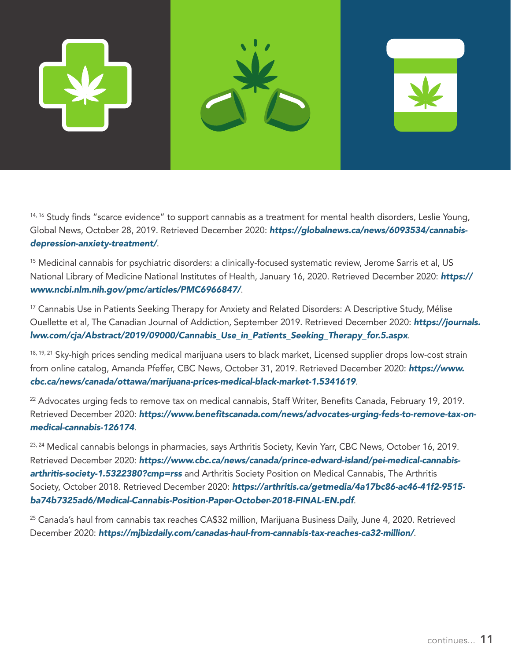

14, 16 Study finds "scarce evidence" to support cannabis as a treatment for mental health disorders, Leslie Young, Global News, October 28, 2019. Retrieved December 2020: *[https://globalnews.ca/news/6093534/cannabis](https://globalnews.ca/news/6093534/cannabis-depression-anxiety-treatment/)[depression-anxiety-treatment/](https://globalnews.ca/news/6093534/cannabis-depression-anxiety-treatment/)*.

<sup>15</sup> Medicinal cannabis for psychiatric disorders: a clinically-focused systematic review, Jerome Sarris et al, US National Library of Medicine National Institutes of Health, January 16, 2020. Retrieved December 2020: *[https://](https://www.ncbi.nlm.nih.gov/pmc/articles/PMC6966847/) [www.ncbi.nlm.nih.gov/pmc/articles/PMC6966847/](https://www.ncbi.nlm.nih.gov/pmc/articles/PMC6966847/)*.

<sup>17</sup> Cannabis Use in Patients Seeking Therapy for Anxiety and Related Disorders: A Descriptive Study, Mélise Ouellette et al, The Canadian Journal of Addiction, September 2019. Retrieved December 2020: *[https://journals.](https://journals.lww.com/cja/Abstract/2019/09000/Cannabis_Use_in_Patients_Seeking_Therapy_for.5.aspx) [lww.com/cja/Abstract/2019/09000/Cannabis\\_Use\\_in\\_Patients\\_Seeking\\_Therapy\\_for.5.aspx](https://journals.lww.com/cja/Abstract/2019/09000/Cannabis_Use_in_Patients_Seeking_Therapy_for.5.aspx)*.

18, 19, 21 Sky-high prices sending medical marijuana users to black market, Licensed supplier drops low-cost strain from online catalog, Amanda Pfeffer, CBC News, October 31, 2019. Retrieved December 2020: *[https://www.](https://www.cbc.ca/news/canada/ottawa/marijuana-prices-medical-black-market-1.5341619) [cbc.ca/news/canada/ottawa/marijuana-prices-medical-black-market-1.5341619](https://www.cbc.ca/news/canada/ottawa/marijuana-prices-medical-black-market-1.5341619)*.

<sup>22</sup> Advocates urging feds to remove tax on medical cannabis, Staff Writer, Benefits Canada, February 19, 2019. Retrieved December 2020: *[https://www.benefitscanada.com/news/advocates-urging-feds-to-remove-tax-on](https://www.benefitscanada.com/news/advocates-urging-feds-to-remove-tax-on-medical-cannabis-126174)[medical-cannabis-126174](https://www.benefitscanada.com/news/advocates-urging-feds-to-remove-tax-on-medical-cannabis-126174)*.

<sup>23, 24</sup> Medical cannabis belongs in pharmacies, says Arthritis Society, Kevin Yarr, CBC News, October 16, 2019. Retrieved December 2020: *[https://www.cbc.ca/news/canada/prince-edward-island/pei-medical-cannabis](https://www.cbc.ca/news/canada/prince-edward-island/pei-medical-cannabis-arthritis-society-1.5322380?cmp=rss and Arthritis Society Position on Medical Cannabis, The Arthritis Society, October 2018. Retrieved December 2020: https://arthritis.ca/getmedia/4a17bc86-ac46-41f2-9515-ba74b7325ad6/Medical-Cannabis-Position-Paper-October-2018-FINAL-EN.pdf)[arthritis-society-1.5322380?cmp=rss](https://www.cbc.ca/news/canada/prince-edward-island/pei-medical-cannabis-arthritis-society-1.5322380?cmp=rss and Arthritis Society Position on Medical Cannabis, The Arthritis Society, October 2018. Retrieved December 2020: https://arthritis.ca/getmedia/4a17bc86-ac46-41f2-9515-ba74b7325ad6/Medical-Cannabis-Position-Paper-October-2018-FINAL-EN.pdf)* and Arthritis Society Position on Medical Cannabis, The Arthritis Society, October 2018. Retrieved December 2020: *[https://arthritis.ca/getmedia/4a17bc86-ac46-41f2-9515](https://arthritis.ca/getmedia/4a17bc86-ac46-41f2-9515-ba74b7325ad6/Medical-Cannabis-Position-Paper-October-2018-FINAL-EN.pdf) [ba74b7325ad6/Medical-Cannabis-Position-Paper-October-2018-FINAL-EN.pdf](https://arthritis.ca/getmedia/4a17bc86-ac46-41f2-9515-ba74b7325ad6/Medical-Cannabis-Position-Paper-October-2018-FINAL-EN.pdf)*.

<sup>25</sup> Canada's haul from cannabis tax reaches CA\$32 million, Marijuana Business Daily, June 4, 2020. Retrieved December 2020: *<https://mjbizdaily.com/canadas-haul-from-cannabis-tax-reaches-ca32-million/>*.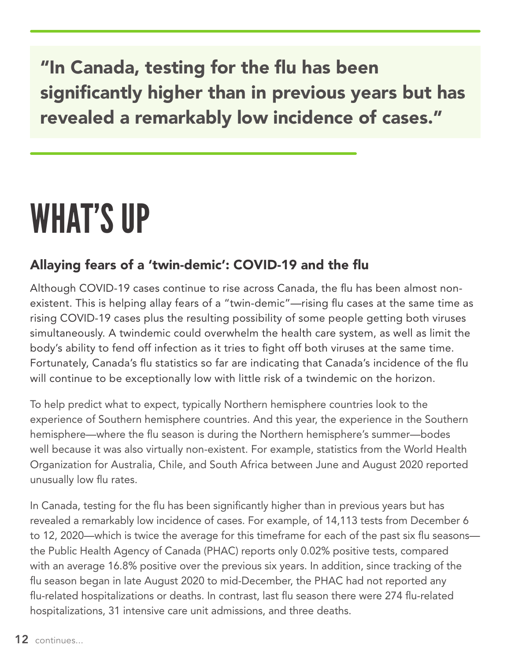"In Canada, testing for the flu has been significantly higher than in previous years but has revealed a remarkably low incidence of cases."

# WHAT'S UP

### Allaying fears of a 'twin-demic': COVID-19 and the flu

Although COVID-19 cases continue to rise across Canada, the flu has been almost nonexistent. This is helping allay fears of a "twin-demic"—rising flu cases at the same time as rising COVID-19 cases plus the resulting possibility of some people getting both viruses simultaneously. A twindemic could overwhelm the health care system, as well as limit the body's ability to fend off infection as it tries to fight off both viruses at the same time. Fortunately, Canada's flu statistics so far are indicating that Canada's incidence of the flu will continue to be exceptionally low with little risk of a twindemic on the horizon.

To help predict what to expect, typically Northern hemisphere countries look to the experience of Southern hemisphere countries. And this year, the experience in the Southern hemisphere—where the flu season is during the Northern hemisphere's summer—bodes well because it was also virtually non-existent. For example, statistics from the World Health Organization for Australia, Chile, and South Africa between June and August 2020 reported unusually low flu rates.

In Canada, testing for the flu has been significantly higher than in previous years but has revealed a remarkably low incidence of cases. For example, of 14,113 tests from December 6 to 12, 2020—which is twice the average for this timeframe for each of the past six flu seasons the Public Health Agency of Canada (PHAC) reports only 0.02% positive tests, compared with an average 16.8% positive over the previous six years. In addition, since tracking of the flu season began in late August 2020 to mid-December, the PHAC had not reported any flu-related hospitalizations or deaths. In contrast, last flu season there were 274 flu-related hospitalizations, 31 intensive care unit admissions, and three deaths.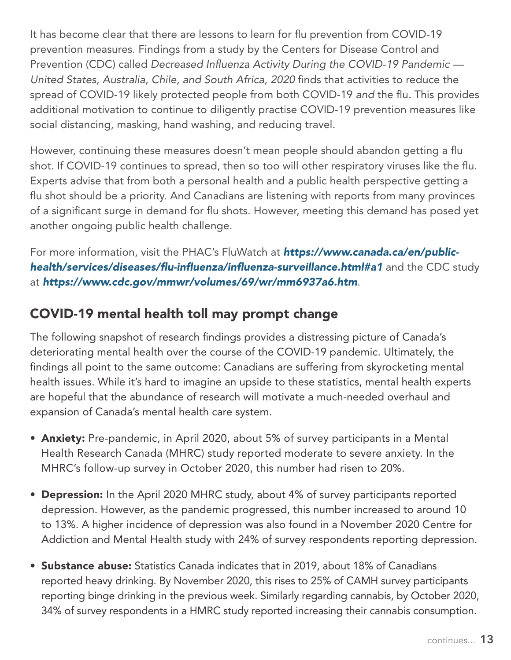It has become clear that there are lessons to learn for flu prevention from COVID-19 prevention measures. Findings from a study by the Centers for Disease Control and Prevention (CDC) called *Decreased Influenza Activity During the COVID-19 Pandemic — United States, Australia, Chile, and South Africa, 2020* finds that activities to reduce the spread of COVID-19 likely protected people from both COVID-19 *and* the flu. This provides additional motivation to continue to diligently practise COVID-19 prevention measures like social distancing, masking, hand washing, and reducing travel.

However, continuing these measures doesn't mean people should abandon getting a flu shot. If COVID-19 continues to spread, then so too will other respiratory viruses like the flu. Experts advise that from both a personal health and a public health perspective getting a flu shot should be a priority. And Canadians are listening with reports from many provinces of a significant surge in demand for flu shots. However, meeting this demand has posed yet another ongoing public health challenge.

For more information, visit the PHAC's FluWatch at *[https://www.canada.ca/en/public](https://www.canada.ca/en/public-health/services/diseases/flu-influenza/influenza-surveillance.html#a1)[health/services/diseases/flu-influenza/influenza-surveillance.html#a1](https://www.canada.ca/en/public-health/services/diseases/flu-influenza/influenza-surveillance.html#a1)* and the CDC study at *<https://www.cdc.gov/mmwr/volumes/69/wr/mm6937a6.htm>*.

### COVID-19 mental health toll may prompt change

The following snapshot of research findings provides a distressing picture of Canada's deteriorating mental health over the course of the COVID-19 pandemic. Ultimately, the findings all point to the same outcome: Canadians are suffering from skyrocketing mental health issues. While it's hard to imagine an upside to these statistics, mental health experts are hopeful that the abundance of research will motivate a much-needed overhaul and expansion of Canada's mental health care system.

- **Anxiety:** Pre-pandemic, in April 2020, about 5% of survey participants in a Mental Health Research Canada (MHRC) study reported moderate to severe anxiety. In the MHRC's follow-up survey in October 2020, this number had risen to 20%.
- Depression: In the April 2020 MHRC study, about 4% of survey participants reported depression. However, as the pandemic progressed, this number increased to around 10 to 13%. A higher incidence of depression was also found in a November 2020 Centre for Addiction and Mental Health study with 24% of survey respondents reporting depression.
- **Substance abuse:** Statistics Canada indicates that in 2019, about 18% of Canadians reported heavy drinking. By November 2020, this rises to 25% of CAMH survey participants reporting binge drinking in the previous week. Similarly regarding cannabis, by October 2020, 34% of survey respondents in a HMRC study reported increasing their cannabis consumption.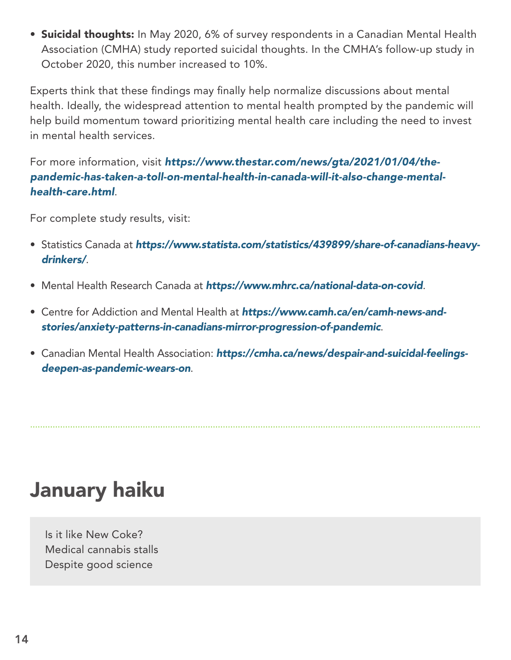• Suicidal thoughts: In May 2020, 6% of survey respondents in a Canadian Mental Health Association (CMHA) study reported suicidal thoughts. In the CMHA's follow-up study in October 2020, this number increased to 10%.

Experts think that these findings may finally help normalize discussions about mental health. Ideally, the widespread attention to mental health prompted by the pandemic will help build momentum toward prioritizing mental health care including the need to invest in mental health services.

For more information, visit *[https://www.thestar.com/news/gta/2021/01/04/the](https://www.thestar.com/news/gta/2021/01/04/the-pandemic-has-taken-a-toll-on-mental-health-in-canada-will-it-also-change-mental-health-care.html)[pandemic-has-taken-a-toll-on-mental-health-in-canada-will-it-also-change-mental](https://www.thestar.com/news/gta/2021/01/04/the-pandemic-has-taken-a-toll-on-mental-health-in-canada-will-it-also-change-mental-health-care.html)[health-care.html](https://www.thestar.com/news/gta/2021/01/04/the-pandemic-has-taken-a-toll-on-mental-health-in-canada-will-it-also-change-mental-health-care.html)*.

For complete study results, visit:

- Statistics Canada at *[https://www.statista.com/statistics/439899/share-of-canadians-heavy](https://www.statista.com/statistics/439899/share-of-canadians-heavy-drinkers/)[drinkers/](https://www.statista.com/statistics/439899/share-of-canadians-heavy-drinkers/)*.
- Mental Health Research Canada at *<https://www.mhrc.ca/national-data-on-covid>*.
- Centre for Addiction and Mental Health at *[https://www.camh.ca/en/camh-news-and](https://www.camh.ca/en/camh-news-and-stories/anxiety-patterns-in-canadians-mirror-progression-of-pandemic)[stories/anxiety-patterns-in-canadians-mirror-progression-of-pandemic](https://www.camh.ca/en/camh-news-and-stories/anxiety-patterns-in-canadians-mirror-progression-of-pandemic)*.
- Canadian Mental Health Association: *[https://cmha.ca/news/despair-and-suicidal-feelings](https://cmha.ca/news/despair-and-suicidal-feelings-deepen-as-pandemic-wears-on)[deepen-as-pandemic-wears-on](https://cmha.ca/news/despair-and-suicidal-feelings-deepen-as-pandemic-wears-on)*.

January haiku

Is it like New Coke? Medical cannabis stalls Despite good science